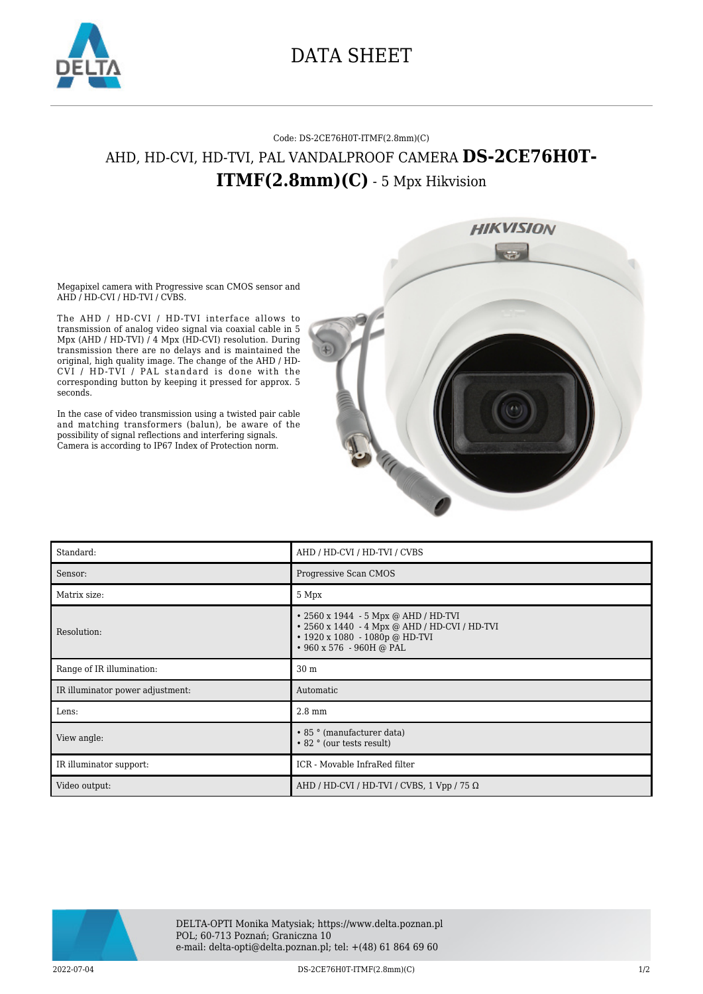

## DATA SHEET

## Code: DS-2CE76H0T-ITMF(2.8mm)(C) AHD, HD-CVI, HD-TVI, PAL VANDALPROOF CAMERA **DS-2CE76H0T-ITMF(2.8mm)(C)** - 5 Mpx Hikvision



Megapixel camera with Progressive scan CMOS sensor and AHD / HD-CVI / HD-TVI / CVBS.

The AHD / HD-CVI / HD-TVI interface allows to transmission of analog video signal via coaxial cable in 5 Mpx (AHD / HD-TVI) / 4 Mpx (HD-CVI) resolution. During transmission there are no delays and is maintained the original, high quality image. The change of the AHD / HD-CVI / HD-TVI / PAL standard is done with the corresponding button by keeping it pressed for approx. 5 seconds.

In the case of video transmission using a twisted pair cable and matching transformers (balun), be aware of the possibility of signal reflections and interfering signals. Camera is according to IP67 Index of Protection norm.

| Standard:                        | AHD / HD-CVI / HD-TVI / CVBS                                                                                                                                    |
|----------------------------------|-----------------------------------------------------------------------------------------------------------------------------------------------------------------|
| Sensor:                          | Progressive Scan CMOS                                                                                                                                           |
| Matrix size:                     | 5 Mpx                                                                                                                                                           |
| Resolution:                      | • 2560 x 1944 - 5 Mpx @ AHD / HD-TVI<br>• 2560 x 1440 - 4 Mpx @ AHD / HD-CVI / HD-TVI<br>$\cdot$ 1920 x 1080 - 1080p @ HD-TVI<br>$\cdot$ 960 x 576 - 960H @ PAL |
| Range of IR illumination:        | 30 <sub>m</sub>                                                                                                                                                 |
| IR illuminator power adjustment: | Automatic                                                                                                                                                       |
| Lens:                            | $2.8 \text{ mm}$                                                                                                                                                |
| View angle:                      | • 85 ° (manufacturer data)<br>• 82 ° (our tests result)                                                                                                         |
| IR illuminator support:          | ICR - Movable InfraRed filter                                                                                                                                   |
| Video output:                    | AHD / HD-CVI / HD-TVI / CVBS, 1 Vpp / 75 $\Omega$                                                                                                               |